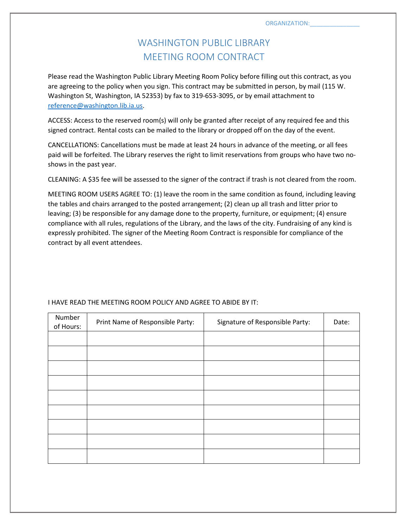## WASHINGTON PUBLIC LIBRARY MEETING ROOM CONTRACT

Please read the Washington Public Library Meeting Room Policy before filling out this contract, as you are agreeing to the policy when you sign. This contract may be submitted in person, by mail (115 W. Washington St, Washington, IA 52353) by fax to 319-653-3095, or by email attachment to [reference@washington.lib.ia.us.](mailto:reference@washington.lib.ia.us)

ACCESS: Access to the reserved room(s) will only be granted after receipt of any required fee and this signed contract. Rental costs can be mailed to the library or dropped off on the day of the event.

CANCELLATIONS: Cancellations must be made at least 24 hours in advance of the meeting, or all fees paid will be forfeited. The Library reserves the right to limit reservations from groups who have two noshows in the past year.

CLEANING: A \$35 fee will be assessed to the signer of the contract if trash is not cleared from the room.

MEETING ROOM USERS AGREE TO: (1) leave the room in the same condition as found, including leaving the tables and chairs arranged to the posted arrangement; (2) clean up all trash and litter prior to leaving; (3) be responsible for any damage done to the property, furniture, or equipment; (4) ensure compliance with all rules, regulations of the Library, and the laws of the city. Fundraising of any kind is expressly prohibited. The signer of the Meeting Room Contract is responsible for compliance of the contract by all event attendees.

| Number<br>of Hours: | Print Name of Responsible Party: | Signature of Responsible Party: | Date: |
|---------------------|----------------------------------|---------------------------------|-------|
|                     |                                  |                                 |       |
|                     |                                  |                                 |       |
|                     |                                  |                                 |       |
|                     |                                  |                                 |       |
|                     |                                  |                                 |       |
|                     |                                  |                                 |       |
|                     |                                  |                                 |       |
|                     |                                  |                                 |       |
|                     |                                  |                                 |       |

## I HAVE READ THE MEETING ROOM POLICY AND AGREE TO ABIDE BY IT: